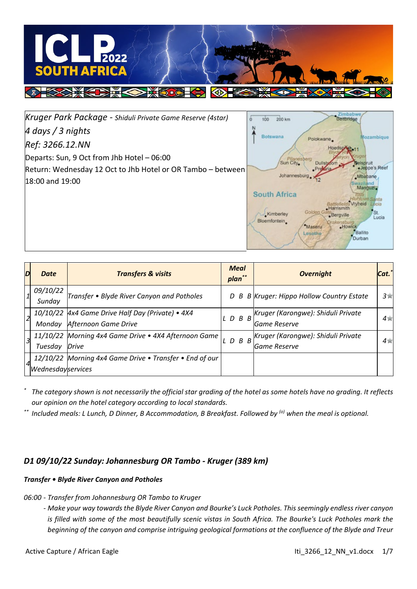

Zimbab *Kruger Park Package - Shiduli Private Game Reserve (4star)*  $\delta$  $100$  $200 km$ Beitbridge *4 days / 3 nights*  **Botswana** Mozambique Poloky *Ref: 3266.12.NN* Departs: Sun, 9 Oct from Jhb Hotel – 06:00 Sun City Ispruit ·Jeppe's Reef Return: Wednesday 12 Oct to Jhb Hotel or OR Tambo – between Johannesbur **Mbabane** 18:00 and 19:00 **Bland** Manguzi. **South Africa** nta Battlefields<br>Harrismith<br>Golden Gate<br>Bergville Vryheid 'st Kimberley Bergville Lucia Bloemfontein what<br>Howick<br>Durban \*Maseru Lesothe Durban

| D              | Date               | <b>Transfers &amp; visits</b>                                                   | <b>Meal</b><br>plan** |   | <b>Overnight</b> |                                                    |        |
|----------------|--------------------|---------------------------------------------------------------------------------|-----------------------|---|------------------|----------------------------------------------------|--------|
| 1              | 09/10/22<br>Sunday | Transfer • Blyde River Canyon and Potholes                                      |                       | D |                  | B B Kruger: Hippo Hollow Country Estate            | 3★     |
| $\overline{2}$ |                    | 10/10/22 4x4 Game Drive Half Day (Private) • 4X4<br>Monday Afternoon Game Drive | $L$ $D$ $B$ $B$       |   |                  | Kruger (Karongwe): Shiduli Private<br>Game Reserve | $4\pi$ |
| 3              | Tuesday            | 11/10/22 Morning 4x4 Game Drive • 4X4 Afternoon Game<br><b>Drive</b>            | $L$ $D$ $B$ $B$       |   |                  | Kruger (Karongwe): Shiduli Private<br>Game Reserve | $4\pi$ |
|                | Wednesdayservices  | 12/10/22 Morning 4x4 Game Drive • Transfer • End of our                         |                       |   |                  |                                                    |        |

*\* The category shown is not necessarily the official star grading of the hotel as some hotels have no grading. It reflects our opinion on the hotel category according to local standards.*

*\*\* Included meals: L Lunch, D Dinner, B Accommodation, B Breakfast. Followed by (o) when the meal is optional.*

# *D1 09/10/22 Sunday: Johannesburg OR Tambo - Kruger (389 km)*

## *Transfer • Blyde River Canyon and Potholes*

- *06:00 - Transfer from Johannesburg OR Tambo to Kruger*
	- *- Make your way towards the Blyde River Canyon and Bourke's Luck Potholes. This seemingly endless river canyon is filled with some of the most beautifully scenic vistas in South Africa. The Bourke's Luck Potholes mark the beginning of the canyon and comprise intriguing geological formations at the confluence of the Blyde and Treur*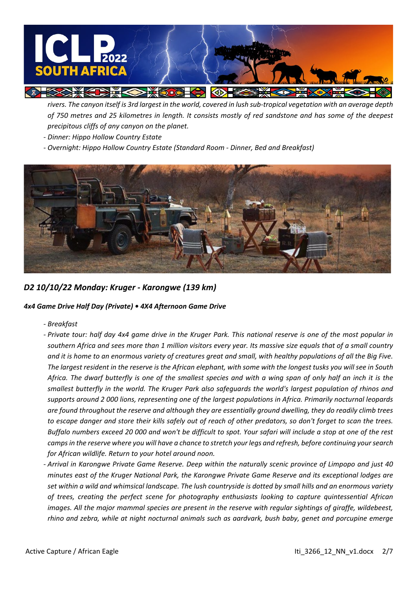

*rivers. The canyon itself is 3rd largest in the world, covered in lush sub-tropical vegetation with an average depth of 750 metres and 25 kilometres in length. It consists mostly of red sandstone and has some of the deepest precipitous cliffs of any canyon on the planet.*

- *- Dinner: Hippo Hollow Country Estate*
- *- Overnight: Hippo Hollow Country Estate (Standard Room - Dinner, Bed and Breakfast)*



*D2 10/10/22 Monday: Kruger - Karongwe (139 km)*

## *4x4 Game Drive Half Day (Private) • 4X4 Afternoon Game Drive*

- *- Breakfast*
- *- Private tour: half day 4x4 game drive in the Kruger Park. This national reserve is one of the most popular in southern Africa and sees more than 1 million visitors every year. Its massive size equals that of a small country and it is home to an enormous variety of creatures great and small, with healthy populations of all the Big Five. The largest resident in the reserve is the African elephant, with some with the longest tusks you will see in South Africa. The dwarf butterfly is one of the smallest species and with a wing span of only half an inch it is the smallest butterfly in the world. The Kruger Park also safeguards the world's largest population of rhinos and supports around 2 000 lions, representing one of the largest populations in Africa. Primarily nocturnal leopards are found throughout the reserve and although they are essentially ground dwelling, they do readily climb trees to escape danger and store their kills safely out of reach of other predators, so don't forget to scan the trees. Buffalo numbers exceed 20 000 and won't be difficult to spot. Your safari will include a stop at one of the rest camps in the reserve where you will have a chance to stretch your legs and refresh, before continuing your search for African wildlife. Return to your hotel around noon.*
- *- Arrival in Karongwe Private Game Reserve. Deep within the naturally scenic province of Limpopo and just 40 minutes east of the Kruger National Park, the Karongwe Private Game Reserve and its exceptional lodges are set within a wild and whimsical landscape. The lush countryside is dotted by small hills and an enormous variety of trees, creating the perfect scene for photography enthusiasts looking to capture quintessential African images. All the major mammal species are present in the reserve with regular sightings of giraffe, wildebeest, rhino and zebra, while at night nocturnal animals such as aardvark, bush baby, genet and porcupine emerge*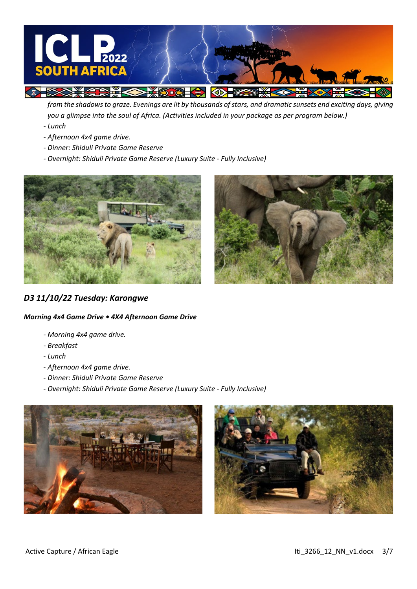

*from the shadows to graze. Evenings are lit by thousands of stars, and dramatic sunsets end exciting days, giving you a glimpse into the soul of Africa. (Activities included in your package as per program below.)*

- *- Lunch*
- *- Afternoon 4x4 game drive.*
- *- Dinner: Shiduli Private Game Reserve*
- *- Overnight: Shiduli Private Game Reserve (Luxury Suite - Fully Inclusive)*



# *D3 11/10/22 Tuesday: Karongwe*

#### *Morning 4x4 Game Drive • 4X4 Afternoon Game Drive*

- *- Morning 4x4 game drive.*
- *- Breakfast*
- *- Lunch*
- *- Afternoon 4x4 game drive.*
- *- Dinner: Shiduli Private Game Reserve*
- *- Overnight: Shiduli Private Game Reserve (Luxury Suite - Fully Inclusive)*

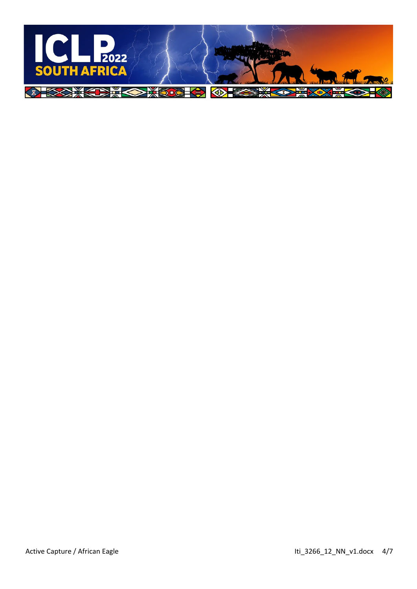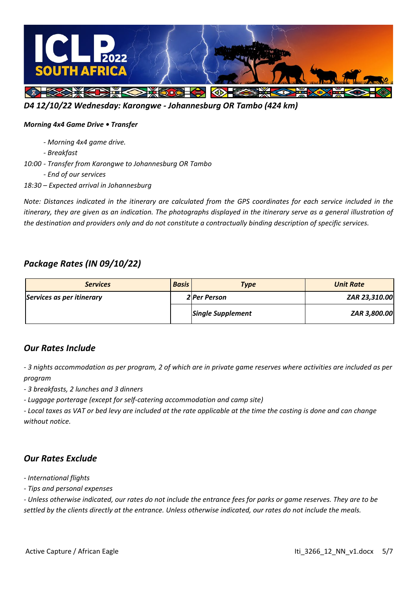

*D4 12/10/22 Wednesday: Karongwe - Johannesburg OR Tambo (424 km)*

## *Morning 4x4 Game Drive • Transfer*

- *- Morning 4x4 game drive.*
- *- Breakfast*
- *10:00 - Transfer from Karongwe to Johannesburg OR Tambo*
	- *- End of our services*
- *18:30 – Expected arrival in Johannesburg*

*Note: Distances indicated in the itinerary are calculated from the GPS coordinates for each service included in the itinerary, they are given as an indication. The photographs displayed in the itinerary serve as a general illustration of the destination and providers only and do not constitute a contractually binding description of specific services.*

## *Package Rates (IN 09/10/22)*

| <b>Services</b>           | <b>Basis</b> | <b>Type</b>              | <b>Unit Rate</b> |  |
|---------------------------|--------------|--------------------------|------------------|--|
| Services as per itinerary |              | <b>2</b> Per Person      | ZAR 23,310.00    |  |
|                           |              | <b>Single Supplement</b> | ZAR 3,800.00     |  |

## *Our Rates Include*

*- 3 nights accommodation as per program, 2 of which are in private game reserves where activities are included as per program*

*- 3 breakfasts, 2 lunches and 3 dinners*

*- Luggage porterage (except for self-catering accommodation and camp site)*

*- Local taxes as VAT or bed levy are included at the rate applicable at the time the costing is done and can change without notice.*

# *Our Rates Exclude*

- *- International flights*
- *- Tips and personal expenses*

*- Unless otherwise indicated, our rates do not include the entrance fees for parks or game reserves. They are to be settled by the clients directly at the entrance. Unless otherwise indicated, our rates do not include the meals.*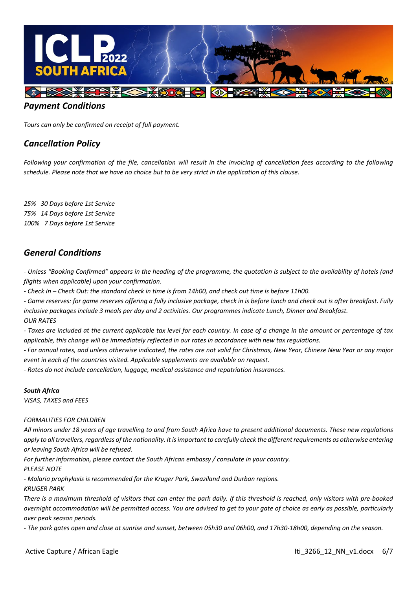

## *Payment Conditions*

*Tours can only be confirmed on receipt of full payment.*

# *Cancellation Policy*

*Following your confirmation of the file, cancellation will result in the invoicing of cancellation fees according to the following schedule. Please note that we have no choice but to be very strict in the application of this clause.*

*25% 30 Days before 1st Service 75% 14 Days before 1st Service 100% 7 Days before 1st Service* 

# *General Conditions*

*- Unless "Booking Confirmed" appears in the heading of the programme, the quotation is subject to the availability of hotels (and flights when applicable) upon your confirmation.*

*- Check In – Check Out: the standard check in time is from 14h00, and check out time is before 11h00.* 

*- Game reserves: for game reserves offering a fully inclusive package, check in is before lunch and check out is after breakfast. Fully inclusive packages include 3 meals per day and 2 activities. Our programmes indicate Lunch, Dinner and Breakfast. OUR RATES*

*- Taxes are included at the current applicable tax level for each country. In case of a change in the amount or percentage of tax applicable, this change will be immediately reflected in our rates in accordance with new tax regulations.*

*- For annual rates, and unless otherwise indicated, the rates are not valid for Christmas, New Year, Chinese New Year or any major event in each of the countries visited. Applicable supplements are available on request.*

*- Rates do not include cancellation, luggage, medical assistance and repatriation insurances.*

*South Africa VISAS, TAXES and FEES*

#### *FORMALITIES FOR CHILDREN*

*All minors under 18 years of age travelling to and from South Africa have to present additional documents. These new regulations apply to all travellers, regardless of the nationality. It is important to carefully check the different requirements as otherwise entering or leaving South Africa will be refused.*

*For further information, please contact the South African embassy / consulate in your country.*

*PLEASE NOTE*

*- Malaria prophylaxis is recommended for the Kruger Park, Swaziland and Durban regions.*

*KRUGER PARK*

*There is a maximum threshold of visitors that can enter the park daily. If this threshold is reached, only visitors with pre-booked overnight accommodation will be permitted access. You are advised to get to your gate of choice as early as possible, particularly over peak season periods.*

*- The park gates open and close at sunrise and sunset, between 05h30 and 06h00, and 17h30-18h00, depending on the season.*